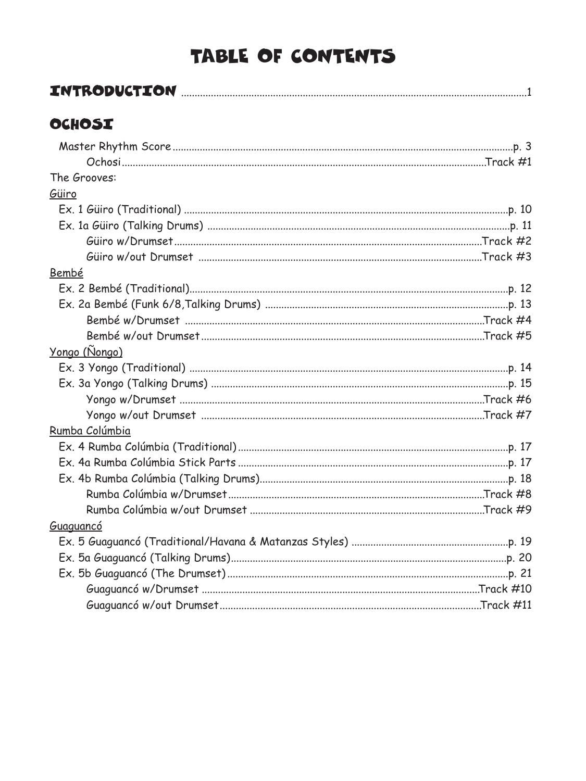### TABLE OF CONTENTS

|--|--|

### OCHOSI

| The Grooves:          |  |
|-----------------------|--|
| Güiro                 |  |
|                       |  |
|                       |  |
|                       |  |
|                       |  |
| Bembé                 |  |
|                       |  |
|                       |  |
|                       |  |
|                       |  |
| <u> Yongo (Ñongo)</u> |  |
|                       |  |
|                       |  |
|                       |  |
|                       |  |
| Rumba Colúmbia        |  |
|                       |  |
|                       |  |
|                       |  |
|                       |  |
|                       |  |
| Guaguancó             |  |
|                       |  |
|                       |  |
|                       |  |
|                       |  |
|                       |  |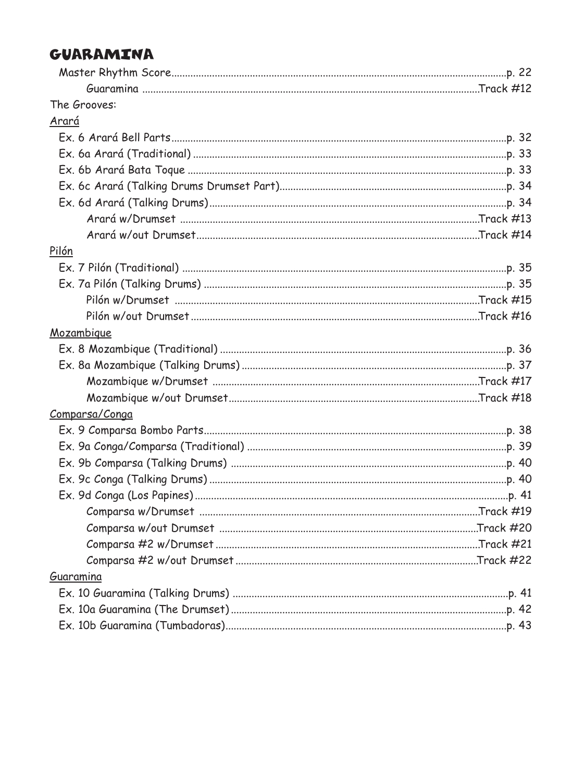#### GUARAMINA

| The Grooves:   |  |
|----------------|--|
| <u>Arará</u>   |  |
|                |  |
|                |  |
|                |  |
|                |  |
|                |  |
|                |  |
|                |  |
| Pilón          |  |
|                |  |
|                |  |
|                |  |
|                |  |
| Mozambique     |  |
|                |  |
|                |  |
|                |  |
|                |  |
| Comparsa/Conga |  |
|                |  |
|                |  |
|                |  |
|                |  |
|                |  |
|                |  |
|                |  |
|                |  |
|                |  |
| Guaramina      |  |
|                |  |
|                |  |
|                |  |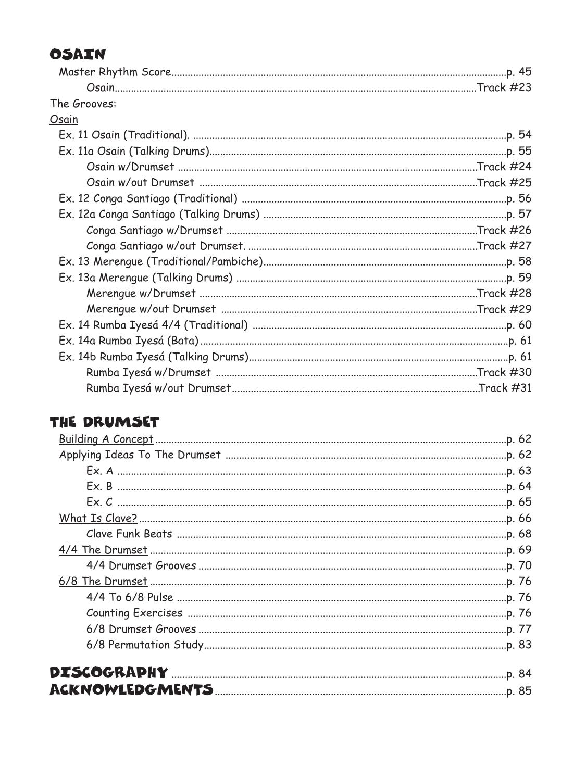#### OSAIN

| The Grooves: |  |
|--------------|--|
| Osain        |  |
|              |  |
|              |  |
|              |  |
|              |  |
|              |  |
|              |  |
|              |  |
|              |  |
|              |  |
|              |  |
|              |  |
|              |  |
|              |  |
|              |  |
|              |  |
|              |  |
|              |  |

#### THE DRUMSET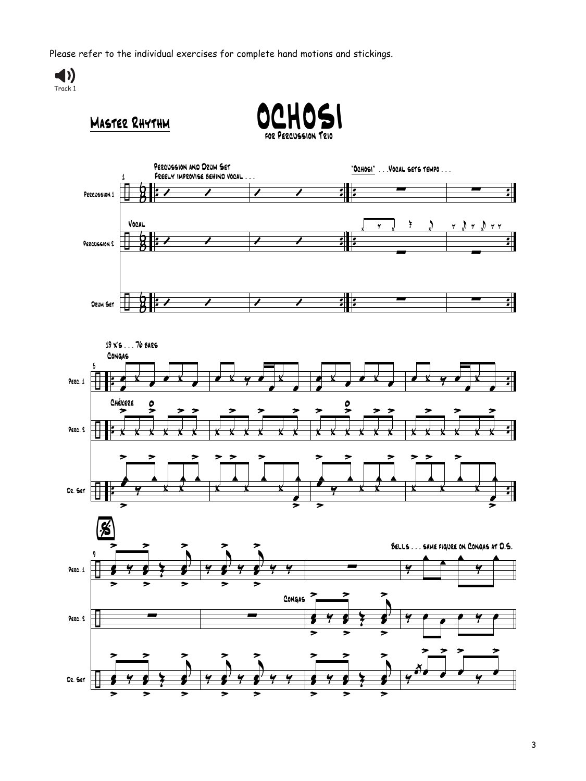Please refer to the individual exercises for complete hand motions and stickings.









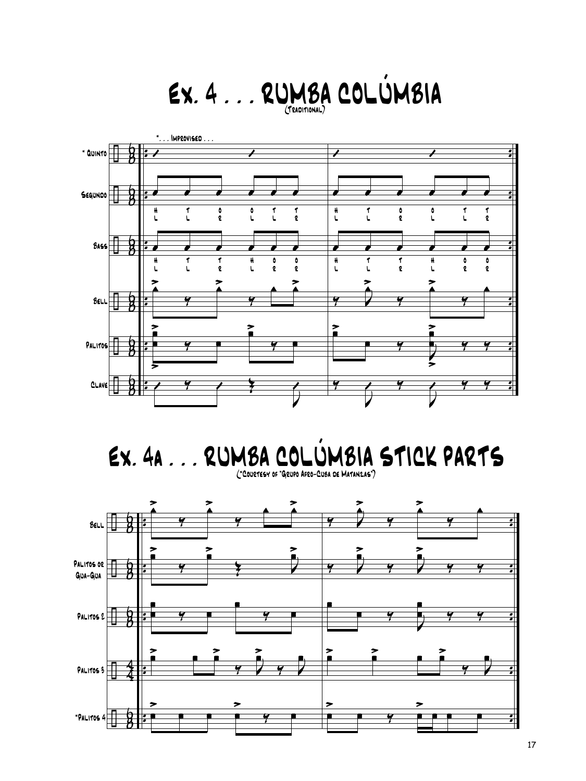# Ex. 4 . . . RUMBA COLÚMBIA (Traditional)



Ex. 4a . . . RUMBA COLÚMBIA STICK PARTS (\*Courtesy of "Grupo Afro-Cuba de Matanzas")

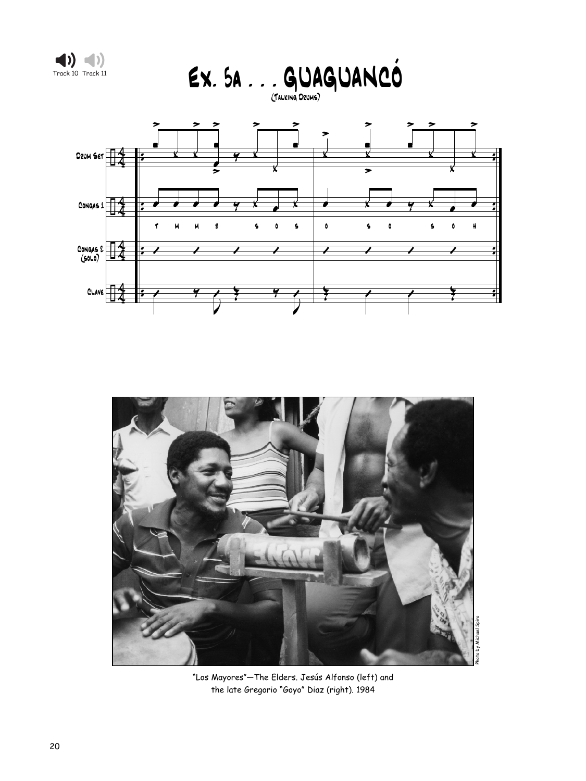







"Los Mayores"—The Elders. Jesús Alfonso (left) and the late Gregorio "Goyo" Diaz (right). 1984